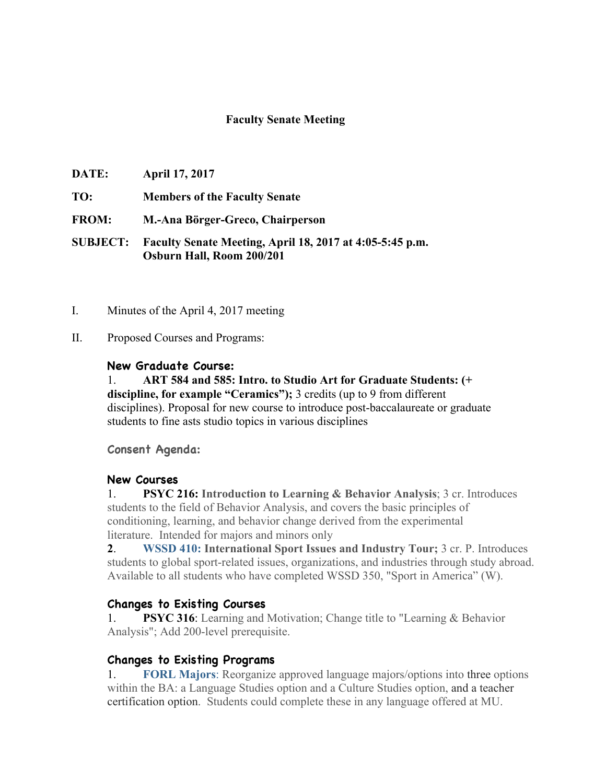## **Faculty Senate Meeting**

- **DATE: April 17, 2017**
- **TO: Members of the Faculty Senate**
- **FROM: M.-Ana Börger-Greco, Chairperson**

**SUBJECT: Faculty Senate Meeting, April 18, 2017 at 4:05-5:45 p.m. Osburn Hall, Room 200/201**

- I. Minutes of the April 4, 2017 meeting
- II. Proposed Courses and Programs:

### **New Graduate Course:**

1. **ART 584 and 585: Intro. to Studio Art for Graduate Students: (+ discipline, for example "Ceramics");** 3 credits (up to 9 from different disciplines). Proposal for new course to introduce post-baccalaureate or graduate students to fine asts studio topics in various disciplines

**Consent Agenda:**

### **New Courses**

1. **PSYC 216: Introduction to Learning & Behavior Analysis**; 3 cr. Introduces students to the field of Behavior Analysis, and covers the basic principles of conditioning, learning, and behavior change derived from the experimental literature. Intended for majors and minors only

**2**. **WSSD 410: International Sport Issues and Industry Tour;** 3 cr. P. Introduces students to global sport-related issues, organizations, and industries through study abroad. Available to all students who have completed WSSD 350, "Sport in America" (W).

### **Changes to Existing Courses**

**PSYC 316:** Learning and Motivation; Change title to "Learning & Behavior Analysis"; Add 200-level prerequisite.

### **Changes to Existing Programs**

1. **FORL Majors**: Reorganize approved language majors/options into three options within the BA: a Language Studies option and a Culture Studies option, and a teacher certification option. Students could complete these in any language offered at MU.